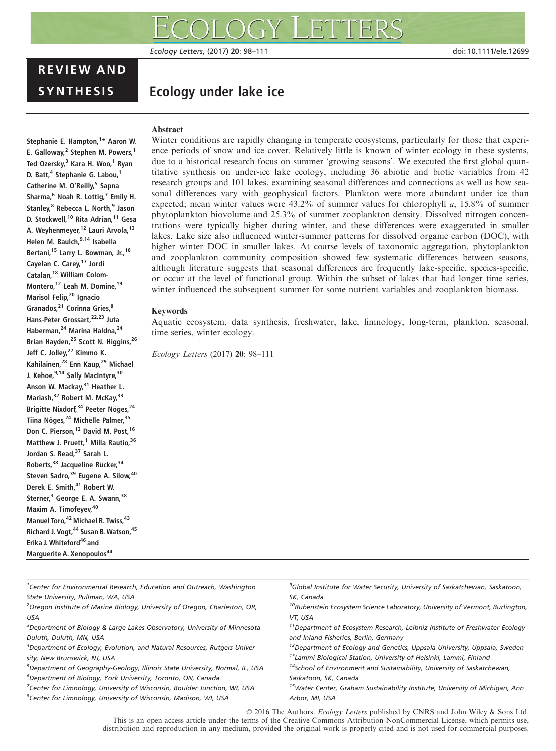# REVIEW AND

# SYNTHESIS Ecology under lake ice

# Abstract

Stephanie E. Hampton,<sup>1</sup>\* Aaron W. E. Galloway, $^2$  Stephen M. Powers, $^1$ Ted Ozersky,<sup>3</sup> Kara H. Woo,<sup>1</sup> Ryan D. Batt,<sup>4</sup> Stephanie G. Labou,<sup>1</sup> Catherine M. O'Reilly,<sup>5</sup> Sapna Sharma,<sup>6</sup> Noah R. Lottig,<sup>7</sup> Emily H. Stanley,<sup>8</sup> Rebecca L. North,<sup>9</sup> Jason D. Stockwell,<sup>10</sup> Rita Adrian,<sup>11</sup> Gesa A. Weyhenmeyer,<sup>12</sup> Lauri Arvola,<sup>13</sup> Helen M. Baulch, 9,14 Isabella Bertani,<sup>15</sup> Larry L. Bowman, Jr.,<sup>16</sup> Cayelan C. Carey,<sup>17</sup> Jordi Catalan,<sup>18</sup> William Colom-Montero,<sup>12</sup> Leah M. Domine,<sup>19</sup> Marisol Felip,<sup>20</sup> Ignacio Granados, <sup>21</sup> Corinna Gries, <sup>8</sup> Hans-Peter Grossart,<sup>22,23</sup> Juta Haberman,<sup>24</sup> Marina Haldna,<sup>24</sup> Brian Hayden,<sup>25</sup> Scott N. Higgins,<sup>26</sup> Jeff C. Jolley,<sup>27</sup> Kimmo K. Kahilainen,28 Enn Kaup,<sup>29</sup> Michael J. Kehoe, 9,14 Sally MacIntyre, 30 Anson W. Mackay,<sup>31</sup> Heather L. Mariash,<sup>32</sup> Robert M. McKay,<sup>33</sup> Brigitte Nixdorf,<sup>34</sup> Peeter Noges,<sup>24</sup> Tiina Nõges, <sup>24</sup> Michelle Palmer, <sup>35</sup> Don C. Pierson, <sup>12</sup> David M. Post, <sup>16</sup> Matthew J. Pruett,<sup>1</sup> Milla Rautio,<sup>36</sup> Jordan S. Read, 37 Sarah L. Roberts,<sup>38</sup> Jacqueline Rücker,<sup>34</sup> Steven Sadro,<sup>39</sup> Eugene A. Silow,<sup>40</sup> Derek E. Smith,<sup>41</sup> Robert W. Sterner,<sup>3</sup> George E. A. Swann,<sup>38</sup> Maxim A. Timofeyev, 40 Manuel Toro, <sup>42</sup> Michael R. Twiss, <sup>43</sup> Richard J. Vogt, <sup>44</sup> Susan B. Watson, <sup>45</sup> Erika J. Whiteford<sup>46</sup> and Marguerite A. Xenopoulos<sup>44</sup>

Winter conditions are rapidly changing in temperate ecosystems, particularly for those that experience periods of snow and ice cover. Relatively little is known of winter ecology in these systems, due to a historical research focus on summer 'growing seasons'. We executed the first global quantitative synthesis on under-ice lake ecology, including 36 abiotic and biotic variables from 42 research groups and 101 lakes, examining seasonal differences and connections as well as how seasonal differences vary with geophysical factors. Plankton were more abundant under ice than expected; mean winter values were 43.2% of summer values for chlorophyll a, 15.8% of summer phytoplankton biovolume and 25.3% of summer zooplankton density. Dissolved nitrogen concentrations were typically higher during winter, and these differences were exaggerated in smaller lakes. Lake size also influenced winter-summer patterns for dissolved organic carbon (DOC), with higher winter DOC in smaller lakes. At coarse levels of taxonomic aggregation, phytoplankton and zooplankton community composition showed few systematic differences between seasons, although literature suggests that seasonal differences are frequently lake-specific, species-specific, or occur at the level of functional group. Within the subset of lakes that had longer time series, winter influenced the subsequent summer for some nutrient variables and zooplankton biomass.

# Keywords

Aquatic ecosystem, data synthesis, freshwater, lake, limnology, long-term, plankton, seasonal, time series, winter ecology.

Ecology Letters (2017) 20: 98–111

<sup>1</sup> Center for Environmental Research, Education and Outreach, Washington State University, Pullman, WA, USA

<sup>2</sup>Oregon Institute of Marine Biology, University of Oregon, Charleston, OR, USA

<sup>3</sup>Department of Biology & Large Lakes Observatory, University of Minnesota Duluth, Duluth, MN, USA

<sup>4</sup>Department of Ecology, Evolution, and Natural Resources, Rutgers University, New Brunswick, NJ, USA

5 Department of Geography-Geology, Illinois State University, Normal, IL, USA 6 Department of Biology, York University, Toronto, ON, Canada

<sup>7</sup>Center for Limnology, University of Wisconsin, Boulder Junction, WI, USA 8 Center for Limnology, University of Wisconsin, Madison, WI, USA

<sup>9</sup>Global Institute for Water Security, University of Saskatchewan, Saskatoon, SK, Canada

- $10R$ ubenstein Ecosystem Science Laboratory, University of Vermont, Burlington, VT, USA
- $11$ Department of Ecosystem Research, Leibniz Institute of Freshwater Ecology and Inland Fisheries, Berlin, Germany
- <sup>12</sup>Department of Ecology and Genetics, Uppsala University, Uppsala, Sweden <sup>13</sup>Lammi Biological Station, University of Helsinki, Lammi, Finland
- <sup>14</sup>School of Environment and Sustainability, University of Saskatchewan, Saskatoon, SK, Canada

<sup>15</sup>Water Center, Graham Sustainability Institute, University of Michigan, Ann Arbor, MI, USA

© 2016 The Authors. Ecology Letters published by CNRS and John Wiley & Sons Ltd. This is an open access article under the terms of the [Creative Commons Attribution-NonCommercial](http://creativecommons.org/licenses/by-nc/4.0/) License, which permits use, distribution and reproduction in any medium, provided the original work is properly cited and is not used for commercial purposes.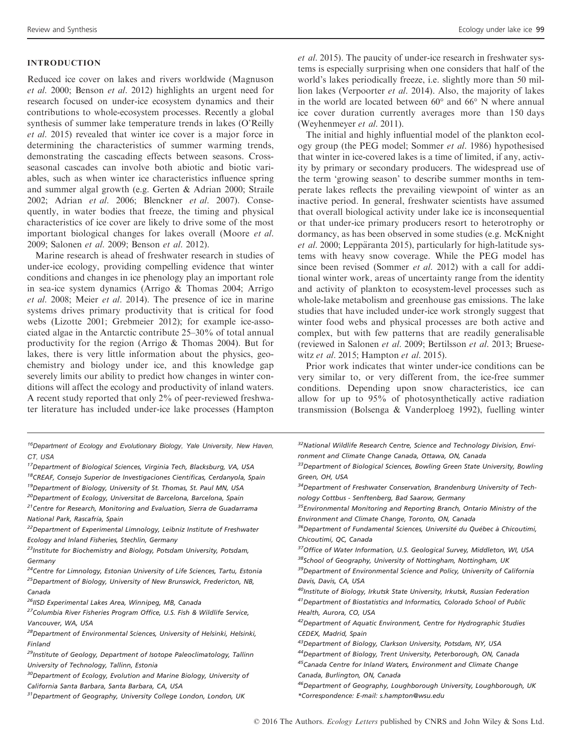# INTRODUCTION

Reduced ice cover on lakes and rivers worldwide (Magnuson et al. 2000; Benson et al. 2012) highlights an urgent need for research focused on under-ice ecosystem dynamics and their contributions to whole-ecosystem processes. Recently a global synthesis of summer lake temperature trends in lakes (O'Reilly et al. 2015) revealed that winter ice cover is a major force in determining the characteristics of summer warming trends, demonstrating the cascading effects between seasons. Crossseasonal cascades can involve both abiotic and biotic variables, such as when winter ice characteristics influence spring and summer algal growth (e.g. Gerten & Adrian 2000; Straile 2002; Adrian et al. 2006; Blenckner et al. 2007). Consequently, in water bodies that freeze, the timing and physical characteristics of ice cover are likely to drive some of the most important biological changes for lakes overall (Moore et al. 2009; Salonen et al. 2009; Benson et al. 2012).

Marine research is ahead of freshwater research in studies of under-ice ecology, providing compelling evidence that winter conditions and changes in ice phenology play an important role in sea-ice system dynamics (Arrigo & Thomas 2004; Arrigo et al. 2008; Meier et al. 2014). The presence of ice in marine systems drives primary productivity that is critical for food webs (Lizotte 2001; Grebmeier 2012); for example ice-associated algae in the Antarctic contribute 25–30% of total annual productivity for the region (Arrigo & Thomas 2004). But for lakes, there is very little information about the physics, geochemistry and biology under ice, and this knowledge gap severely limits our ability to predict how changes in winter conditions will affect the ecology and productivity of inland waters. A recent study reported that only 2% of peer-reviewed freshwater literature has included under-ice lake processes (Hampton et al. 2015). The paucity of under-ice research in freshwater systems is especially surprising when one considers that half of the world's lakes periodically freeze, i.e. slightly more than 50 million lakes (Verpoorter et al. 2014). Also, the majority of lakes in the world are located between 60° and 66° N where annual ice cover duration currently averages more than 150 days (Weyhenmeyer et al. 2011).

The initial and highly influential model of the plankton ecology group (the PEG model; Sommer et al. 1986) hypothesised that winter in ice-covered lakes is a time of limited, if any, activity by primary or secondary producers. The widespread use of the term 'growing season' to describe summer months in temperate lakes reflects the prevailing viewpoint of winter as an inactive period. In general, freshwater scientists have assumed that overall biological activity under lake ice is inconsequential or that under-ice primary producers resort to heterotrophy or dormancy, as has been observed in some studies (e.g. McKnight et al. 2000; Leppäranta 2015), particularly for high-latitude systems with heavy snow coverage. While the PEG model has since been revised (Sommer *et al.* 2012) with a call for additional winter work, areas of uncertainty range from the identity and activity of plankton to ecosystem-level processes such as whole-lake metabolism and greenhouse gas emissions. The lake studies that have included under-ice work strongly suggest that winter food webs and physical processes are both active and complex, but with few patterns that are readily generalisable (reviewed in Salonen et al. 2009; Bertilsson et al. 2013; Bruesewitz et al. 2015; Hampton et al. 2015).

Prior work indicates that winter under-ice conditions can be very similar to, or very different from, the ice-free summer conditions. Depending upon snow characteristics, ice can allow for up to 95% of photosynthetically active radiation transmission (Bolsenga & Vanderploeg 1992), fuelling winter

| <sup>16</sup> Department of Ecology and Evolutionary Biology, Yale University, New Haven, | <sup>32</sup> National Wildlife Research Centre, Science and Technology Division, Envi-   |
|-------------------------------------------------------------------------------------------|-------------------------------------------------------------------------------------------|
| CT. USA                                                                                   | ronment and Climate Change Canada, Ottawa, ON, Canada                                     |
| <sup>17</sup> Department of Biological Sciences, Virginia Tech, Blacksburg, VA, USA       | <sup>33</sup> Department of Biological Sciences, Bowling Green State University, Bowling  |
| <sup>18</sup> CREAF, Consejo Superior de Investigaciones Científicas, Cerdanyola, Spain   | Green, OH, USA                                                                            |
| <sup>19</sup> Department of Biology, University of St. Thomas, St. Paul MN, USA           | <sup>34</sup> Department of Freshwater Conservation, Brandenburg University of Tech-      |
| <sup>20</sup> Department of Ecology, Universitat de Barcelona, Barcelona, Spain           | nology Cottbus - Senftenberg, Bad Saarow, Germany                                         |
| <sup>21</sup> Centre for Research, Monitoring and Evaluation, Sierra de Guadarrama        | <sup>35</sup> Environmental Monitoring and Reporting Branch, Ontario Ministry of the      |
| National Park, Rascafría, Spain                                                           | Environment and Climate Change, Toronto, ON, Canada                                       |
| <sup>22</sup> Department of Experimental Limnology, Leibniz Institute of Freshwater       | <sup>36</sup> Department of Fundamental Sciences, Université du Québec à Chicoutimi,      |
| Ecology and Inland Fisheries, Stechlin, Germany                                           | Chicoutimi, QC, Canada                                                                    |
| <sup>23</sup> Institute for Biochemistry and Biology, Potsdam University, Potsdam,        | <sup>37</sup> Office of Water Information, U.S. Geological Survey, Middleton, WI, USA     |
| Germany                                                                                   | <sup>38</sup> School of Geography, University of Nottingham, Nottingham, UK               |
| <sup>24</sup> Centre for Limnology, Estonian University of Life Sciences, Tartu, Estonia  | <sup>39</sup> Department of Environmental Science and Policy, University of California    |
| <sup>25</sup> Department of Biology, University of New Brunswick, Fredericton, NB,        | Davis, Davis, CA, USA                                                                     |
| Canada                                                                                    | <sup>40</sup> Institute of Biology, Irkutsk State University, Irkutsk, Russian Federation |
| <sup>26</sup> IISD Experimental Lakes Area, Winnipeg, MB, Canada                          | <sup>41</sup> Department of Biostatistics and Informatics, Colorado School of Public      |
| <sup>27</sup> Columbia River Fisheries Program Office, U.S. Fish & Wildlife Service,      | Health, Aurora, CO, USA                                                                   |
| Vancouver, WA, USA                                                                        | <sup>42</sup> Department of Aquatic Environment, Centre for Hydrographic Studies          |
| <sup>28</sup> Department of Environmental Sciences, University of Helsinki, Helsinki,     | CEDEX, Madrid, Spain                                                                      |
| Finland                                                                                   | <sup>43</sup> Department of Biology, Clarkson University, Potsdam, NY, USA                |
| <sup>29</sup> Institute of Geology, Department of Isotope Paleoclimatology, Tallinn       | <sup>44</sup> Department of Biology, Trent University, Peterborough, ON, Canada           |
| University of Technology, Tallinn, Estonia                                                | <sup>45</sup> Canada Centre for Inland Waters, Environment and Climate Change             |
| <sup>30</sup> Department of Ecology, Evolution and Marine Biology, University of          | Canada, Burlington, ON, Canada                                                            |
| California Santa Barbara, Santa Barbara, CA, USA                                          | <sup>46</sup> Department of Geography, Loughborough University, Loughborough, UK          |
| <sup>31</sup> Department of Geography, University College London, London, UK              | *Correspondence: E-mail: s.hampton@wsu.edu                                                |
|                                                                                           |                                                                                           |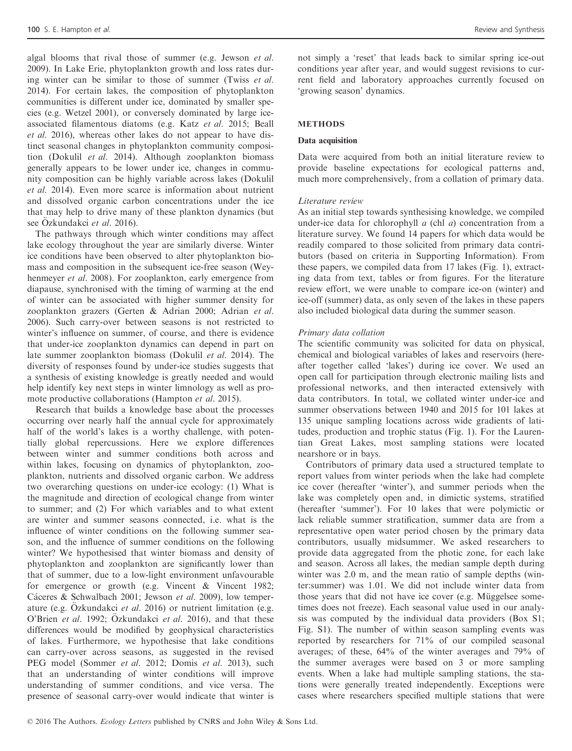algal blooms that rival those of summer (e.g. Jewson et al. 2009). In Lake Erie, phytoplankton growth and loss rates during winter can be similar to those of summer (Twiss et al. 2014). For certain lakes, the composition of phytoplankton communities is different under ice, dominated by smaller species (e.g. Wetzel 2001), or conversely dominated by large iceassociated filamentous diatoms (e.g. Katz et al. 2015; Beall et al. 2016), whereas other lakes do not appear to have distinct seasonal changes in phytoplankton community composition (Dokulil et al. 2014). Although zooplankton biomass generally appears to be lower under ice, changes in community composition can be highly variable across lakes (Dokulil et al. 2014). Even more scarce is information about nutrient and dissolved organic carbon concentrations under the ice that may help to drive many of these plankton dynamics (but see Özkundakci *et al.* 2016).

The pathways through which winter conditions may affect lake ecology throughout the year are similarly diverse. Winter ice conditions have been observed to alter phytoplankton biomass and composition in the subsequent ice-free season (Weyhenmeyer *et al.* 2008). For zooplankton, early emergence from diapause, synchronised with the timing of warming at the end of winter can be associated with higher summer density for zooplankton grazers (Gerten & Adrian 2000; Adrian et al. 2006). Such carry-over between seasons is not restricted to winter's influence on summer, of course, and there is evidence that under-ice zooplankton dynamics can depend in part on late summer zooplankton biomass (Dokulil et al. 2014). The diversity of responses found by under-ice studies suggests that a synthesis of existing knowledge is greatly needed and would help identify key next steps in winter limnology as well as promote productive collaborations (Hampton et al. 2015).

Research that builds a knowledge base about the processes occurring over nearly half the annual cycle for approximately half of the world's lakes is a worthy challenge, with potentially global repercussions. Here we explore differences between winter and summer conditions both across and within lakes, focusing on dynamics of phytoplankton, zooplankton, nutrients and dissolved organic carbon. We address two overarching questions on under-ice ecology: (1) What is the magnitude and direction of ecological change from winter to summer; and (2) For which variables and to what extent are winter and summer seasons connected, i.e. what is the influence of winter conditions on the following summer season, and the influence of summer conditions on the following winter? We hypothesised that winter biomass and density of phytoplankton and zooplankton are significantly lower than that of summer, due to a low-light environment unfavourable for emergence or growth (e.g. Vincent & Vincent 1982; Cáceres & Schwalbach 2001; Jewson et al. 2009), low temperature (e.g.  $Oz$ kundakci *et al.* 2016) or nutrient limitation (e.g. O'Brien et al. 1992; Özkundakci et al. 2016), and that these differences would be modified by geophysical characteristics of lakes. Furthermore, we hypothesise that lake conditions can carry-over across seasons, as suggested in the revised PEG model (Sommer et al. 2012; Domis et al. 2013), such that an understanding of winter conditions will improve understanding of summer conditions, and vice versa. The presence of seasonal carry-over would indicate that winter is

not simply a 'reset' that leads back to similar spring ice-out conditions year after year, and would suggest revisions to current field and laboratory approaches currently focused on 'growing season' dynamics.

# METHODS

## Data acquisition

Data were acquired from both an initial literature review to provide baseline expectations for ecological patterns and, much more comprehensively, from a collation of primary data.

# Literature review

As an initial step towards synthesising knowledge, we compiled under-ice data for chlorophyll  $a$  (chl  $a$ ) concentration from a literature survey. We found 14 papers for which data would be readily compared to those solicited from primary data contributors (based on criteria in Supporting Information). From these papers, we compiled data from 17 lakes (Fig. 1), extracting data from text, tables or from figures. For the literature review effort, we were unable to compare ice-on (winter) and ice-off (summer) data, as only seven of the lakes in these papers also included biological data during the summer season.

# Primary data collation

The scientific community was solicited for data on physical, chemical and biological variables of lakes and reservoirs (hereafter together called 'lakes') during ice cover. We used an open call for participation through electronic mailing lists and professional networks, and then interacted extensively with data contributors. In total, we collated winter under-ice and summer observations between 1940 and 2015 for 101 lakes at 135 unique sampling locations across wide gradients of latitudes, production and trophic status (Fig. 1). For the Laurentian Great Lakes, most sampling stations were located nearshore or in bays.

Contributors of primary data used a structured template to report values from winter periods when the lake had complete ice cover (hereafter 'winter'), and summer periods when the lake was completely open and, in dimictic systems, stratified (hereafter 'summer'). For 10 lakes that were polymictic or lack reliable summer stratification, summer data are from a representative open water period chosen by the primary data contributors, usually midsummer. We asked researchers to provide data aggregated from the photic zone, for each lake and season. Across all lakes, the median sample depth during winter was 2.0 m, and the mean ratio of sample depths (winter:summer) was 1.01. We did not include winter data from those years that did not have ice cover (e.g. Müggelsee sometimes does not freeze). Each seasonal value used in our analysis was computed by the individual data providers (Box S1; Fig. S1). The number of within season sampling events was reported by researchers for 71% of our compiled seasonal averages; of these, 64% of the winter averages and 79% of the summer averages were based on 3 or more sampling events. When a lake had multiple sampling stations, the stations were generally treated independently. Exceptions were cases where researchers specified multiple stations that were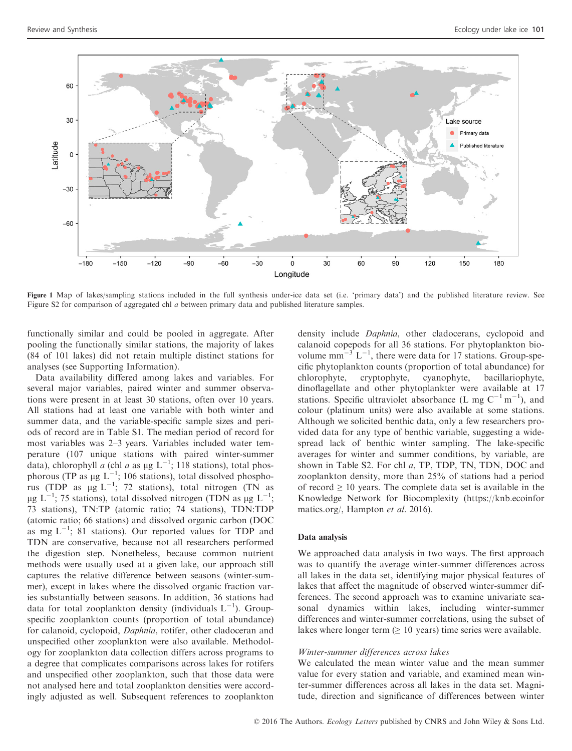

Figure 1 Map of lakes/sampling stations included in the full synthesis under-ice data set (i.e. 'primary data') and the published literature review. See Figure S2 for comparison of aggregated chl *a* between primary data and published literature samples.

functionally similar and could be pooled in aggregate. After pooling the functionally similar stations, the majority of lakes (84 of 101 lakes) did not retain multiple distinct stations for analyses (see Supporting Information).

Data availability differed among lakes and variables. For several major variables, paired winter and summer observations were present in at least 30 stations, often over 10 years. All stations had at least one variable with both winter and summer data, and the variable-specific sample sizes and periods of record are in Table S1. The median period of record for most variables was 2–3 years. Variables included water temperature (107 unique stations with paired winter-summer data), chlorophyll a (chl a as  $\mu$ g L<sup>-1</sup>; 118 stations), total phosphorous (TP as  $\mu$ g L<sup>-1</sup>; 106 stations), total dissolved phosphorus (TDP as  $\mu$ g L<sup>-1</sup>; 72 stations), total nitrogen (TN as  $\mu$ g L<sup>-1</sup>; 75 stations), total dissolved nitrogen (TDN as  $\mu$ g L<sup>-1</sup>; 73 stations), TN:TP (atomic ratio; 74 stations), TDN:TDP (atomic ratio; 66 stations) and dissolved organic carbon (DOC as mg  $L^{-1}$ ; 81 stations). Our reported values for TDP and TDN are conservative, because not all researchers performed the digestion step. Nonetheless, because common nutrient methods were usually used at a given lake, our approach still captures the relative difference between seasons (winter-summer), except in lakes where the dissolved organic fraction varies substantially between seasons. In addition, 36 stations had data for total zooplankton density (individuals  $L^{-1}$ ). Groupspecific zooplankton counts (proportion of total abundance) for calanoid, cyclopoid, Daphnia, rotifer, other cladoceran and unspecified other zooplankton were also available. Methodology for zooplankton data collection differs across programs to a degree that complicates comparisons across lakes for rotifers and unspecified other zooplankton, such that those data were not analysed here and total zooplankton densities were accordingly adjusted as well. Subsequent references to zooplankton density include Daphnia, other cladocerans, cyclopoid and calanoid copepods for all 36 stations. For phytoplankton biovolume mm<sup> $-3$ </sup> L<sup>-1</sup>, there were data for 17 stations. Group-specific phytoplankton counts (proportion of total abundance) for chlorophyte, cryptophyte, cyanophyte, bacillariophyte, dinoflagellate and other phytoplankter were available at 17 stations. Specific ultraviolet absorbance (L mg  $C^{-1}$  m<sup>-1</sup>), and colour (platinum units) were also available at some stations. Although we solicited benthic data, only a few researchers provided data for any type of benthic variable, suggesting a widespread lack of benthic winter sampling. The lake-specific averages for winter and summer conditions, by variable, are shown in Table S2. For chl a, TP, TDP, TN, TDN, DOC and zooplankton density, more than 25% of stations had a period of record  $\geq 10$  years. The complete data set is available in the Knowledge Network for Biocomplexity [\(https://knb.ecoinfor](https://knb.ecoinformatics.org/) [matics.org/](https://knb.ecoinformatics.org/), Hampton et al. 2016).

#### Data analysis

We approached data analysis in two ways. The first approach was to quantify the average winter-summer differences across all lakes in the data set, identifying major physical features of lakes that affect the magnitude of observed winter-summer differences. The second approach was to examine univariate seasonal dynamics within lakes, including winter-summer differences and winter-summer correlations, using the subset of lakes where longer term  $(≥ 10$  years) time series were available.

#### Winter-summer differences across lakes

We calculated the mean winter value and the mean summer value for every station and variable, and examined mean winter-summer differences across all lakes in the data set. Magnitude, direction and significance of differences between winter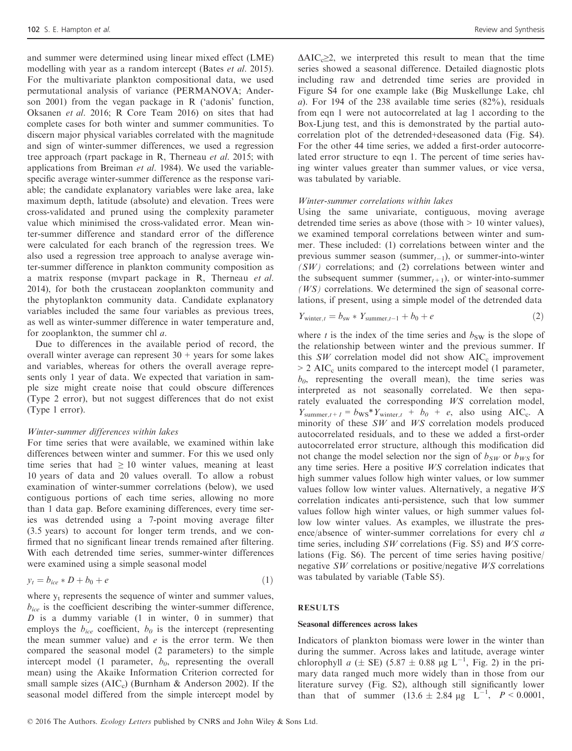and summer were determined using linear mixed effect (LME) modelling with year as a random intercept (Bates *et al.* 2015). For the multivariate plankton compositional data, we used permutational analysis of variance (PERMANOVA; Anderson 2001) from the vegan package in R ('adonis' function, Oksanen et al. 2016; R Core Team 2016) on sites that had complete cases for both winter and summer communities. To discern major physical variables correlated with the magnitude and sign of winter-summer differences, we used a regression tree approach (rpart package in R, Therneau et al. 2015; with applications from Breiman et al. 1984). We used the variablespecific average winter-summer difference as the response variable; the candidate explanatory variables were lake area, lake maximum depth, latitude (absolute) and elevation. Trees were cross-validated and pruned using the complexity parameter value which minimised the cross-validated error. Mean winter-summer difference and standard error of the difference were calculated for each branch of the regression trees. We also used a regression tree approach to analyse average winter-summer difference in plankton community composition as a matrix response (mvpart package in R, Therneau et al. 2014), for both the crustacean zooplankton community and the phytoplankton community data. Candidate explanatory variables included the same four variables as previous trees, as well as winter-summer difference in water temperature and, for zooplankton, the summer chl a.

Due to differences in the available period of record, the overall winter average can represent  $30 + \text{years}$  for some lakes and variables, whereas for others the overall average represents only 1 year of data. We expected that variation in sample size might create noise that could obscure differences (Type 2 error), but not suggest differences that do not exist (Type 1 error).

#### Winter-summer differences within lakes

For time series that were available, we examined within lake differences between winter and summer. For this we used only time series that had  $\geq 10$  winter values, meaning at least 10 years of data and 20 values overall. To allow a robust examination of winter-summer correlations (below), we used contiguous portions of each time series, allowing no more than 1 data gap. Before examining differences, every time series was detrended using a 7-point moving average filter (3.5 years) to account for longer term trends, and we confirmed that no significant linear trends remained after filtering. With each detrended time series, summer-winter differences were examined using a simple seasonal model

$$
y_t = b_{ice} * D + b_0 + e \tag{1}
$$

where  $y_t$  represents the sequence of winter and summer values,  $b_{ice}$  is the coefficient describing the winter-summer difference,  $D$  is a dummy variable  $(1 \text{ in winter}, 0 \text{ in summer})$  that employs the  $b_{ice}$  coefficient,  $b_0$  is the intercept (representing the mean summer value) and  $e$  is the error term. We then compared the seasonal model (2 parameters) to the simple intercept model (1 parameter,  $b_0$ , representing the overall mean) using the Akaike Information Criterion corrected for small sample sizes (AIC<sub>c</sub>) (Burnham & Anderson 2002). If the seasonal model differed from the simple intercept model by  $\Delta AIC_c \geq 2$ , we interpreted this result to mean that the time series showed a seasonal difference. Detailed diagnostic plots including raw and detrended time series are provided in Figure S4 for one example lake (Big Muskellunge Lake, chl a). For 194 of the 238 available time series (82%), residuals from eqn 1 were not autocorrelated at lag 1 according to the Box-Ljung test, and this is demonstrated by the partial autocorrelation plot of the detrended+deseasoned data (Fig. S4). For the other 44 time series, we added a first-order autocorrelated error structure to eqn 1. The percent of time series having winter values greater than summer values, or vice versa, was tabulated by variable.

#### Winter-summer correlations within lakes

Using the same univariate, contiguous, moving average detrended time series as above (those with  $> 10$  winter values), we examined temporal correlations between winter and summer. These included: (1) correlations between winter and the previous summer season (summer $t_{t-1}$ ), or summer-into-winter (SW) correlations; and (2) correlations between winter and the subsequent summer (summer<sub> $t+1$ </sub>), or winter-into-summer  $(WS)$  correlations. We determined the sign of seasonal correlations, if present, using a simple model of the detrended data

$$
Y_{\text{winter},t} = b_{\text{sw}} * Y_{\text{summer},t-1} + b_0 + e \tag{2}
$$

where t is the index of the time series and  $b_{SW}$  is the slope of the relationship between winter and the previous summer. If this  $SW$  correlation model did not show  $AIC_c$  improvement  $> 2$  AIC<sub>c</sub> units compared to the intercept model (1 parameter,  $b_0$ , representing the overall mean), the time series was interpreted as not seasonally correlated. We then separately evaluated the corresponding WS correlation model,  $Y_{\text{summer},t+1} = b_{\text{WS}} * Y_{\text{winter},t} + b_0 + e$ , also using AIC<sub>c</sub>. A minority of these SW and WS correlation models produced autocorrelated residuals, and to these we added a first-order autocorrelated error structure, although this modification did not change the model selection nor the sign of  $b_{SW}$  or  $b_{WS}$  for any time series. Here a positive WS correlation indicates that high summer values follow high winter values, or low summer values follow low winter values. Alternatively, a negative WS correlation indicates anti-persistence, such that low summer values follow high winter values, or high summer values follow low winter values. As examples, we illustrate the presence/absence of winter-summer correlations for every chl a time series, including SW correlations (Fig. S5) and WS correlations (Fig. S6). The percent of time series having positive/ negative SW correlations or positive/negative WS correlations was tabulated by variable (Table S5).

#### RESULTS

#### Seasonal differences across lakes

Indicators of plankton biomass were lower in the winter than during the summer. Across lakes and latitude, average winter chlorophyll  $a \ (\pm \ \text{SE})$  (5.87  $\pm$  0.88 µg L<sup>-1</sup>, Fig. 2) in the primary data ranged much more widely than in those from our literature survey (Fig. S2), although still significantly lower than that of summer  $(13.6 \pm 2.84 \text{ µg } L^{-1}, P < 0.0001,$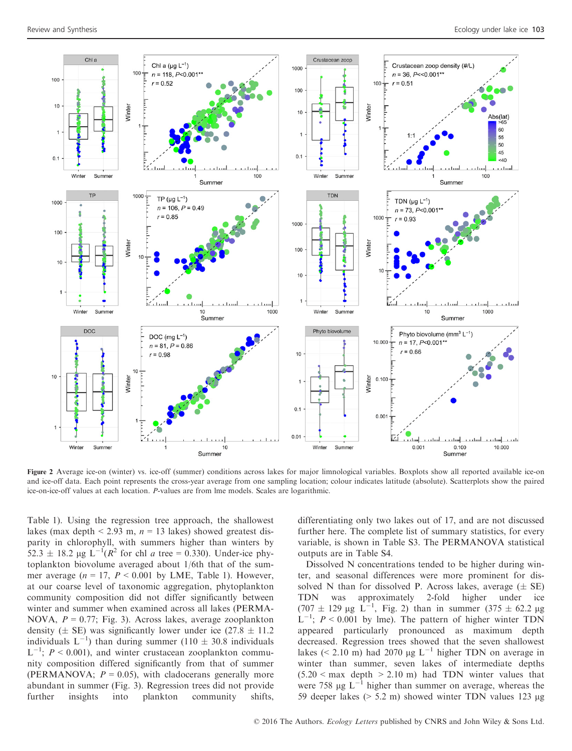

Figure 2 Average ice-on (winter) vs. ice-off (summer) conditions across lakes for major limnological variables. Boxplots show all reported available ice-on and ice-off data. Each point represents the cross-year average from one sampling location; colour indicates latitude (absolute). Scatterplots show the paired ice-on-ice-off values at each location. P-values are from lme models. Scales are logarithmic.

Table 1). Using the regression tree approach, the shallowest lakes (max depth  $\leq$  2.93 m,  $n = 13$  lakes) showed greatest disparity in chlorophyll, with summers higher than winters by 52.3  $\pm$  18.2 µg L<sup>-1</sup>( $R^2$  for chl *a* tree = 0.330). Under-ice phytoplankton biovolume averaged about 1/6th that of the summer average ( $n = 17$ ,  $P < 0.001$  by LME, Table 1). However, at our coarse level of taxonomic aggregation, phytoplankton community composition did not differ significantly between winter and summer when examined across all lakes (PERMA-NOVA,  $P = 0.77$ ; Fig. 3). Across lakes, average zooplankton density ( $\pm$  SE) was significantly lower under ice (27.8  $\pm$  11.2 individuals  $L^{-1}$ ) than during summer (110  $\pm$  30.8 individuals  $L^{-1}$ ;  $P < 0.001$ ), and winter crustacean zooplankton community composition differed significantly from that of summer (PERMANOVA;  $P = 0.05$ ), with cladocerans generally more abundant in summer (Fig. 3). Regression trees did not provide further insights into plankton community shifts, differentiating only two lakes out of 17, and are not discussed further here. The complete list of summary statistics, for every variable, is shown in Table S3. The PERMANOVA statistical outputs are in Table S4.

Dissolved N concentrations tended to be higher during winter, and seasonal differences were more prominent for dissolved N than for dissolved P. Across lakes, average  $(\pm$  SE)<br>TDN was approximately 2-fold higher under ice approximately 2-fold higher under ice  $(707 \pm 129 \text{ µg L}^{-1}$ , Fig. 2) than in summer  $(375 \pm 62.2 \text{ µg})$  $L^{-1}$ ;  $P < 0.001$  by lme). The pattern of higher winter TDN appeared particularly pronounced as maximum depth decreased. Regression trees showed that the seven shallowest lakes (< 2.10 m) had 2070  $\mu$ g L<sup>-1</sup> higher TDN on average in winter than summer, seven lakes of intermediate depths  $(5.20 < \text{max depth} > 2.10 \text{ m})$  had TDN winter values that were 758  $\mu$ g L<sup>-1</sup> higher than summer on average, whereas the 59 deeper lakes ( $> 5.2$  m) showed winter TDN values 123  $\mu$ g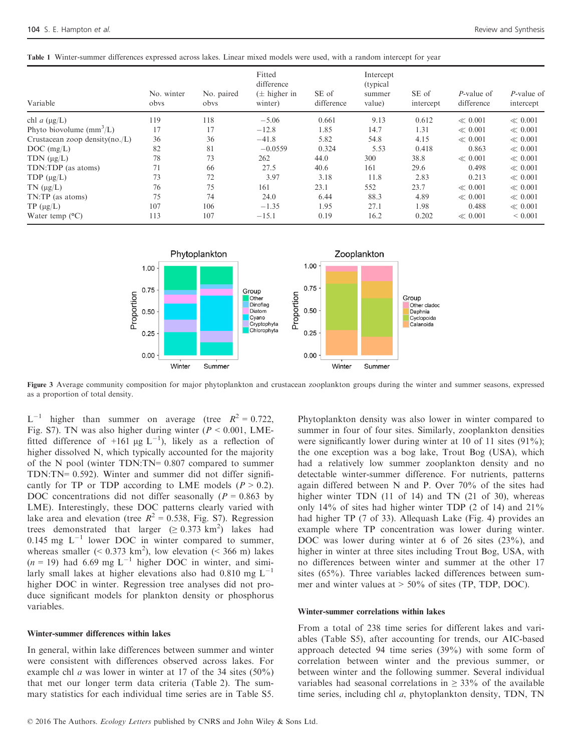|  |  | <b>Table 1</b> Winter-summer differences expressed across lakes. Linear mixed models were used, with a random intercept for vear |  |  |  |  |  |  |  |
|--|--|----------------------------------------------------------------------------------------------------------------------------------|--|--|--|--|--|--|--|
|--|--|----------------------------------------------------------------------------------------------------------------------------------|--|--|--|--|--|--|--|

| Variable                                 | No. winter<br>obys | No. paired<br>obys | Fitted<br>difference<br>$(\pm$ higher in<br>winter) | SE of<br>difference | Intercept<br>(typical)<br>summer<br>value) | SE of<br>intercept | <i>P</i> -value of<br>difference | P-value of<br>intercept |
|------------------------------------------|--------------------|--------------------|-----------------------------------------------------|---------------------|--------------------------------------------|--------------------|----------------------------------|-------------------------|
| chl a $(\mu g/L)$                        | 119                | 118                | $-5.06$                                             | 0.661               | 9.13                                       | 0.612              | $\ll 0.001$                      | $\ll 0.001$             |
| Phyto biovolume $\text{(mm}^3/\text{L})$ | 17                 | 17                 | $-12.8$                                             | 1.85                | 14.7                                       | 1.31               | $\ll 0.001$                      | $\ll 0.001$             |
| Crustacean zoop density $(no/L)$         | 36                 | 36                 | $-41.8$                                             | 5.82                | 54.8                                       | 4.15               | $\ll 0.001$                      | $\ll 0.001$             |
| $DOC$ (mg/L)                             | 82                 | 81                 | $-0.0559$                                           | 0.324               | 5.53                                       | 0.418              | 0.863                            | $\ll 0.001$             |
| TDN $(\mu g/L)$                          | 78                 | 73                 | 262                                                 | 44.0                | 300                                        | 38.8               | $\ll 0.001$                      | $\ll 0.001$             |
| TDN:TDP (as atoms)                       | 71                 | 66                 | 27.5                                                | 40.6                | 161                                        | 29.6               | 0.498                            | $\ll 0.001$             |
| TDP $(\mu g/L)$                          | 73                 | 72                 | 3.97                                                | 3.18                | 11.8                                       | 2.83               | 0.213                            | $\ll 0.001$             |
| $TN$ ( $\mu$ g/L)                        | 76                 | 75                 | 161                                                 | 23.1                | 552                                        | 23.7               | $\ll 0.001$                      | $\ll 0.001$             |
| TN:TP (as atoms)                         | 75                 | 74                 | 24.0                                                | 6.44                | 88.3                                       | 4.89               | $\ll 0.001$                      | $\ll 0.001$             |
| $TP(\mu g/L)$                            | 107                | 106                | $-1.35$                                             | 1.95                | 27.1                                       | 1.98               | 0.488                            | $\ll 0.001$             |
| Water temp $(^{\circ}C)$                 | 113                | 107                | $-15.1$                                             | 0.19                | 16.2                                       | 0.202              | $\ll 0.001$                      | ${}< 0.001$             |



Figure 3 Average community composition for major phytoplankton and crustacean zooplankton groups during the winter and summer seasons, expressed as a proportion of total density.

 $L^{-1}$  higher than summer on average (tree  $R^2 = 0.722$ , Fig. S7). TN was also higher during winter ( $P < 0.001$ , LMEfitted difference of +161  $\mu$ g L<sup>-1</sup>), likely as a reflection of higher dissolved N, which typically accounted for the majority of the N pool (winter TDN:TN= 0.807 compared to summer TDN:TN= 0.592). Winter and summer did not differ significantly for TP or TDP according to LME models  $(P > 0.2)$ . DOC concentrations did not differ seasonally ( $P = 0.863$  by LME). Interestingly, these DOC patterns clearly varied with lake area and elevation (tree  $R^2 = 0.538$ , Fig. S7). Regression trees demonstrated that larger ( $\geq 0.373 \text{ km}^2$ ) lakes had 0.145 mg  $L^{-1}$  lower DOC in winter compared to summer, whereas smaller  $(< 0.373 \text{ km}^2)$ , low elevation  $(< 366 \text{ m})$  lakes  $(n = 19)$  had 6.69 mg L<sup>-1</sup> higher DOC in winter, and similarly small lakes at higher elevations also had 0.810 mg  $L^{-1}$ higher DOC in winter. Regression tree analyses did not produce significant models for plankton density or phosphorus variables.

#### Winter-summer differences within lakes

In general, within lake differences between summer and winter were consistent with differences observed across lakes. For example chl *a* was lower in winter at 17 of the 34 sites  $(50\%)$ that met our longer term data criteria (Table 2). The summary statistics for each individual time series are in Table S5. Phytoplankton density was also lower in winter compared to summer in four of four sites. Similarly, zooplankton densities were significantly lower during winter at 10 of 11 sites (91%); the one exception was a bog lake, Trout Bog (USA), which had a relatively low summer zooplankton density and no detectable winter-summer difference. For nutrients, patterns again differed between N and P. Over 70% of the sites had higher winter TDN (11 of 14) and TN (21 of 30), whereas only 14% of sites had higher winter TDP (2 of 14) and 21% had higher TP (7 of 33). Allequash Lake (Fig. 4) provides an example where TP concentration was lower during winter. DOC was lower during winter at 6 of 26 sites (23%), and higher in winter at three sites including Trout Bog, USA, with no differences between winter and summer at the other 17 sites (65%). Three variables lacked differences between summer and winter values at > 50% of sites (TP, TDP, DOC).

# Winter-summer correlations within lakes

From a total of 238 time series for different lakes and variables (Table S5), after accounting for trends, our AIC-based approach detected 94 time series (39%) with some form of correlation between winter and the previous summer, or between winter and the following summer. Several individual variables had seasonal correlations in  $\geq$  33% of the available time series, including chl a, phytoplankton density, TDN, TN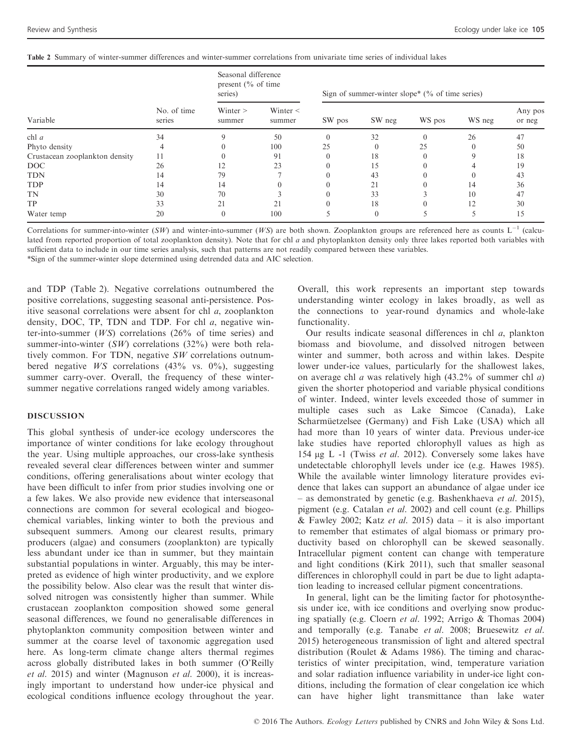|  |  |  |  |  | Table 2 Summary of winter-summer differences and winter-summer correlations from univariate time series of individual lakes |  |  |  |  |
|--|--|--|--|--|-----------------------------------------------------------------------------------------------------------------------------|--|--|--|--|
|--|--|--|--|--|-----------------------------------------------------------------------------------------------------------------------------|--|--|--|--|

| Variable                       | No. of time<br>series | Seasonal difference<br>present $\left(\frac{0}{0}\right)$ of time<br>series) |                      | Sign of summer-winter slope* $(\%$ of time series) |          |        |        |                   |  |
|--------------------------------|-----------------------|------------------------------------------------------------------------------|----------------------|----------------------------------------------------|----------|--------|--------|-------------------|--|
|                                |                       | Winter $>$<br>summer                                                         | Winter $<$<br>summer | SW pos                                             | SW neg   | WS pos | WS neg | Any pos<br>or neg |  |
| chl a                          | 34                    |                                                                              | 50                   |                                                    | 32       |        | 26     | 47                |  |
| Phyto density                  | 4                     |                                                                              | 100                  | 25                                                 | $\theta$ | 25     |        | 50                |  |
| Crustacean zooplankton density | 11                    |                                                                              | 91                   |                                                    | 18       |        |        | 18                |  |
| DOC                            | 26                    | 12                                                                           | 23                   |                                                    | 15       |        |        | 19                |  |
| <b>TDN</b>                     | 14                    | 79                                                                           |                      |                                                    | 43       |        |        | 43                |  |
| <b>TDP</b>                     | 14                    | 14                                                                           |                      |                                                    | 21       |        | 14     | 36                |  |
| TN                             | 30                    | 70                                                                           |                      |                                                    | 33       |        | 10     | 47                |  |
| TP                             | 33                    | 21                                                                           | 21                   |                                                    | 18       |        | 12     | 30                |  |
| Water temp                     | 20                    | $\theta$                                                                     | 100                  |                                                    | $\theta$ |        |        | 15                |  |

Correlations for summer-into-winter (SW) and winter-into-summer (WS) are both shown. Zooplankton groups are referenced here as counts  $L^{-1}$  (calculated from reported proportion of total zooplankton density). Note that for chl  $a$  and phytoplankton density only three lakes reported both variables with sufficient data to include in our time series analysis, such that patterns are not readily compared between these variables. \*Sign of the summer-winter slope determined using detrended data and AIC selection.

and TDP (Table 2). Negative correlations outnumbered the positive correlations, suggesting seasonal anti-persistence. Positive seasonal correlations were absent for chl  $a$ , zooplankton density, DOC, TP, TDN and TDP. For chl *a*, negative winter-into-summer  $(WS)$  correlations  $(26\%$  of time series) and summer-into-winter (SW) correlations (32%) were both relatively common. For TDN, negative  $SW$  correlations outnumbered negative WS correlations  $(43\%$  vs.  $0\%)$ , suggesting summer carry-over. Overall, the frequency of these wintersummer negative correlations ranged widely among variables.

# DISCUSSION

This global synthesis of under-ice ecology underscores the importance of winter conditions for lake ecology throughout the year. Using multiple approaches, our cross-lake synthesis revealed several clear differences between winter and summer conditions, offering generalisations about winter ecology that have been difficult to infer from prior studies involving one or a few lakes. We also provide new evidence that interseasonal connections are common for several ecological and biogeochemical variables, linking winter to both the previous and subsequent summers. Among our clearest results, primary producers (algae) and consumers (zooplankton) are typically less abundant under ice than in summer, but they maintain substantial populations in winter. Arguably, this may be interpreted as evidence of high winter productivity, and we explore the possibility below. Also clear was the result that winter dissolved nitrogen was consistently higher than summer. While crustacean zooplankton composition showed some general seasonal differences, we found no generalisable differences in phytoplankton community composition between winter and summer at the coarse level of taxonomic aggregation used here. As long-term climate change alters thermal regimes across globally distributed lakes in both summer (O'Reilly et al. 2015) and winter (Magnuson et al. 2000), it is increasingly important to understand how under-ice physical and ecological conditions influence ecology throughout the year.

Overall, this work represents an important step towards understanding winter ecology in lakes broadly, as well as the connections to year-round dynamics and whole-lake functionality.

Our results indicate seasonal differences in chl a, plankton biomass and biovolume, and dissolved nitrogen between winter and summer, both across and within lakes. Despite lower under-ice values, particularly for the shallowest lakes, on average chl *a* was relatively high  $(43.2\% \text{ of summer chl } a)$ given the shorter photoperiod and variable physical conditions of winter. Indeed, winter levels exceeded those of summer in multiple cases such as Lake Simcoe (Canada), Lake Scharmüetzelsee (Germany) and Fish Lake (USA) which all had more than 10 years of winter data. Previous under-ice lake studies have reported chlorophyll values as high as 154 lg L -1 (Twiss et al. 2012). Conversely some lakes have undetectable chlorophyll levels under ice (e.g. Hawes 1985). While the available winter limnology literature provides evidence that lakes can support an abundance of algae under ice – as demonstrated by genetic (e.g. Bashenkhaeva et al. 2015), pigment (e.g. Catalan et al. 2002) and cell count (e.g. Phillips & Fawley 2002; Katz et al. 2015) data  $-$  it is also important to remember that estimates of algal biomass or primary productivity based on chlorophyll can be skewed seasonally. Intracellular pigment content can change with temperature and light conditions (Kirk 2011), such that smaller seasonal differences in chlorophyll could in part be due to light adaptation leading to increased cellular pigment concentrations.

In general, light can be the limiting factor for photosynthesis under ice, with ice conditions and overlying snow producing spatially (e.g. Cloern et al. 1992; Arrigo & Thomas 2004) and temporally (e.g. Tanabe et al. 2008; Bruesewitz et al. 2015) heterogeneous transmission of light and altered spectral distribution (Roulet & Adams 1986). The timing and characteristics of winter precipitation, wind, temperature variation and solar radiation influence variability in under-ice light conditions, including the formation of clear congelation ice which can have higher light transmittance than lake water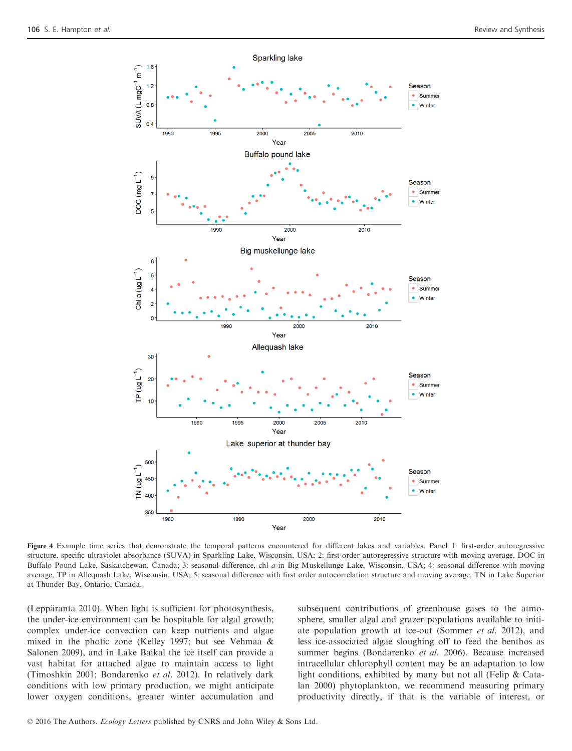

Figure 4 Example time series that demonstrate the temporal patterns encountered for different lakes and variables. Panel 1: first-order autoregressive structure, specific ultraviolet absorbance (SUVA) in Sparkling Lake, Wisconsin, USA; 2: first-order autoregressive structure with moving average, DOC in Buffalo Pound Lake, Saskatchewan, Canada; 3: seasonal difference, chl a in Big Muskellunge Lake, Wisconsin, USA; 4: seasonal difference with moving average, TP in Allequash Lake, Wisconsin, USA; 5: seasonal difference with first order autocorrelation structure and moving average, TN in Lake Superior at Thunder Bay, Ontario, Canada.

(Leppäranta 2010). When light is sufficient for photosynthesis, the under-ice environment can be hospitable for algal growth; complex under-ice convection can keep nutrients and algae mixed in the photic zone (Kelley 1997; but see Vehmaa & Salonen 2009), and in Lake Baikal the ice itself can provide a vast habitat for attached algae to maintain access to light (Timoshkin 2001; Bondarenko et al. 2012). In relatively dark conditions with low primary production, we might anticipate lower oxygen conditions, greater winter accumulation and subsequent contributions of greenhouse gases to the atmosphere, smaller algal and grazer populations available to initiate population growth at ice-out (Sommer et al. 2012), and less ice-associated algae sloughing off to feed the benthos as summer begins (Bondarenko et al. 2006). Because increased intracellular chlorophyll content may be an adaptation to low light conditions, exhibited by many but not all (Felip & Catalan 2000) phytoplankton, we recommend measuring primary productivity directly, if that is the variable of interest, or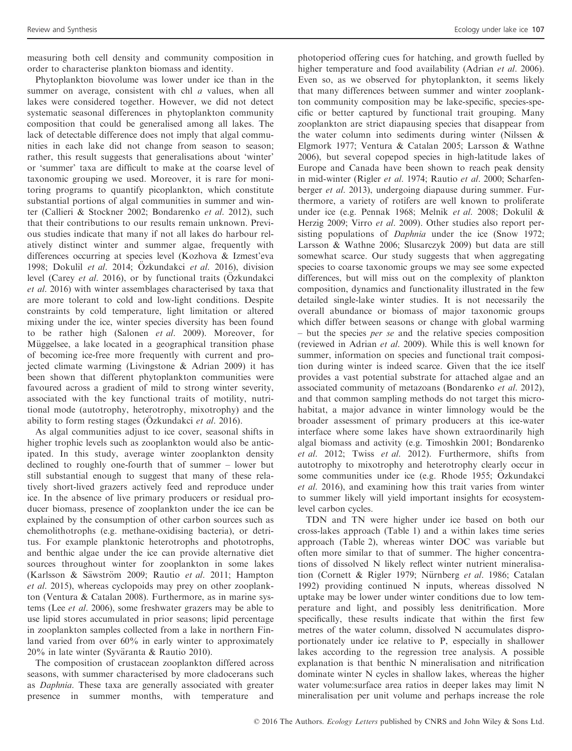measuring both cell density and community composition in order to characterise plankton biomass and identity.

Phytoplankton biovolume was lower under ice than in the summer on average, consistent with chl  $a$  values, when all lakes were considered together. However, we did not detect systematic seasonal differences in phytoplankton community composition that could be generalised among all lakes. The lack of detectable difference does not imply that algal communities in each lake did not change from season to season; rather, this result suggests that generalisations about 'winter' or 'summer' taxa are difficult to make at the coarse level of taxonomic grouping we used. Moreover, it is rare for monitoring programs to quantify picoplankton, which constitute substantial portions of algal communities in summer and winter (Callieri & Stockner 2002; Bondarenko et al. 2012), such that their contributions to our results remain unknown. Previous studies indicate that many if not all lakes do harbour relatively distinct winter and summer algae, frequently with differences occurring at species level (Kozhova & Izmest'eva 1998; Dokulil et al. 2014; Özkundakci et al. 2016), division level (Carey et al. 2016), or by functional traits ( $Oz$ kundakci et al. 2016) with winter assemblages characterised by taxa that are more tolerant to cold and low-light conditions. Despite constraints by cold temperature, light limitation or altered mixing under the ice, winter species diversity has been found to be rather high (Salonen et al. 2009). Moreover, for Müggelsee, a lake located in a geographical transition phase of becoming ice-free more frequently with current and projected climate warming (Livingstone & Adrian 2009) it has been shown that different phytoplankton communities were favoured across a gradient of mild to strong winter severity, associated with the key functional traits of motility, nutritional mode (autotrophy, heterotrophy, mixotrophy) and the ability to form resting stages ( $\ddot{O}$ zkundakci *et al.* 2016).

As algal communities adjust to ice cover, seasonal shifts in higher trophic levels such as zooplankton would also be anticipated. In this study, average winter zooplankton density declined to roughly one-fourth that of summer – lower but still substantial enough to suggest that many of these relatively short-lived grazers actively feed and reproduce under ice. In the absence of live primary producers or residual producer biomass, presence of zooplankton under the ice can be explained by the consumption of other carbon sources such as chemolithotrophs (e.g. methane-oxidising bacteria), or detritus. For example planktonic heterotrophs and phototrophs, and benthic algae under the ice can provide alternative diet sources throughout winter for zooplankton in some lakes (Karlsson & Säwström 2009; Rautio et al. 2011; Hampton et al. 2015), whereas cyclopoids may prey on other zooplankton (Ventura & Catalan 2008). Furthermore, as in marine systems (Lee et al. 2006), some freshwater grazers may be able to use lipid stores accumulated in prior seasons; lipid percentage in zooplankton samples collected from a lake in northern Finland varied from over 60% in early winter to approximately  $20\%$  in late winter (Syväranta & Rautio 2010).

The composition of crustacean zooplankton differed across seasons, with summer characterised by more cladocerans such as Daphnia. These taxa are generally associated with greater presence in summer months, with temperature and

photoperiod offering cues for hatching, and growth fuelled by higher temperature and food availability (Adrian et al. 2006). Even so, as we observed for phytoplankton, it seems likely that many differences between summer and winter zooplankton community composition may be lake-specific, species-specific or better captured by functional trait grouping. Many zooplankton are strict diapausing species that disappear from the water column into sediments during winter (Nilssen & Elgmork 1977; Ventura & Catalan 2005; Larsson & Wathne 2006), but several copepod species in high-latitude lakes of Europe and Canada have been shown to reach peak density in mid-winter (Rigler et al. 1974; Rautio et al. 2000; Scharfenberger et al. 2013), undergoing diapause during summer. Furthermore, a variety of rotifers are well known to proliferate under ice (e.g. Pennak 1968; Melnik et al. 2008; Dokulil & Herzig 2009; Virro et al. 2009). Other studies also report persisting populations of *Daphnia* under the ice (Snow 1972; Larsson & Wathne 2006; Slusarczyk 2009) but data are still somewhat scarce. Our study suggests that when aggregating species to coarse taxonomic groups we may see some expected differences, but will miss out on the complexity of plankton composition, dynamics and functionality illustrated in the few detailed single-lake winter studies. It is not necessarily the overall abundance or biomass of major taxonomic groups which differ between seasons or change with global warming – but the species per se and the relative species composition (reviewed in Adrian et al. 2009). While this is well known for summer, information on species and functional trait composition during winter is indeed scarce. Given that the ice itself provides a vast potential substrate for attached algae and an associated community of metazoans (Bondarenko et al. 2012), and that common sampling methods do not target this microhabitat, a major advance in winter limnology would be the broader assessment of primary producers at this ice-water interface where some lakes have shown extraordinarily high algal biomass and activity (e.g. Timoshkin 2001; Bondarenko et al. 2012; Twiss et al. 2012). Furthermore, shifts from autotrophy to mixotrophy and heterotrophy clearly occur in some communities under ice (e.g. Rhode 1955; Özkundakci et al. 2016), and examining how this trait varies from winter to summer likely will yield important insights for ecosystemlevel carbon cycles.

TDN and TN were higher under ice based on both our cross-lakes approach (Table 1) and a within lakes time series approach (Table 2), whereas winter DOC was variable but often more similar to that of summer. The higher concentrations of dissolved N likely reflect winter nutrient mineralisation (Cornett & Rigler 1979; Nürnberg et al. 1986; Catalan 1992) providing continued N inputs, whereas dissolved N uptake may be lower under winter conditions due to low temperature and light, and possibly less denitrification. More specifically, these results indicate that within the first few metres of the water column, dissolved N accumulates disproportionately under ice relative to P, especially in shallower lakes according to the regression tree analysis. A possible explanation is that benthic N mineralisation and nitrification dominate winter N cycles in shallow lakes, whereas the higher water volume:surface area ratios in deeper lakes may limit N mineralisation per unit volume and perhaps increase the role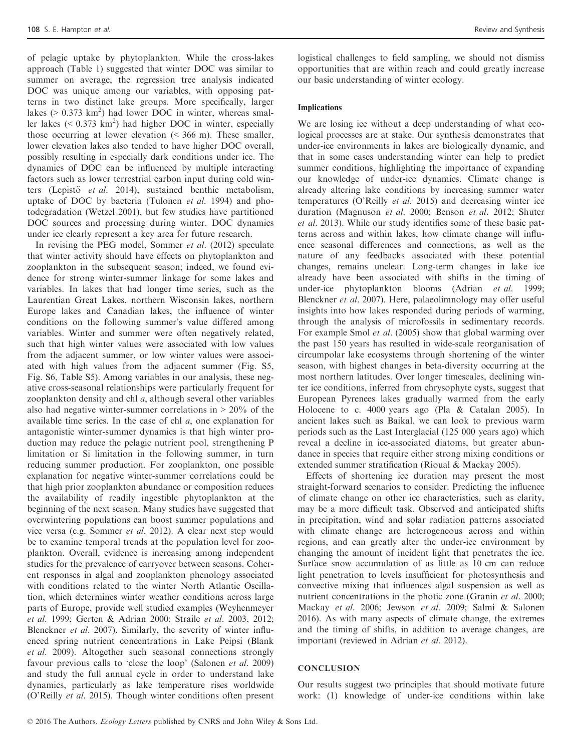of pelagic uptake by phytoplankton. While the cross-lakes approach (Table 1) suggested that winter DOC was similar to summer on average, the regression tree analysis indicated DOC was unique among our variables, with opposing patterns in two distinct lake groups. More specifically, larger lakes ( $> 0.373$  km<sup>2</sup>) had lower DOC in winter, whereas smaller lakes  $(< 0.373 \text{ km}^2)$  had higher DOC in winter, especially those occurring at lower elevation  $\approx 366$  m). These smaller, lower elevation lakes also tended to have higher DOC overall, possibly resulting in especially dark conditions under ice. The dynamics of DOC can be influenced by multiple interacting factors such as lower terrestrial carbon input during cold winters (Lepistö et al. 2014), sustained benthic metabolism, uptake of DOC by bacteria (Tulonen et al. 1994) and photodegradation (Wetzel 2001), but few studies have partitioned DOC sources and processing during winter. DOC dynamics under ice clearly represent a key area for future research.

In revising the PEG model, Sommer et al. (2012) speculate that winter activity should have effects on phytoplankton and zooplankton in the subsequent season; indeed, we found evidence for strong winter-summer linkage for some lakes and variables. In lakes that had longer time series, such as the Laurentian Great Lakes, northern Wisconsin lakes, northern Europe lakes and Canadian lakes, the influence of winter conditions on the following summer's value differed among variables. Winter and summer were often negatively related, such that high winter values were associated with low values from the adjacent summer, or low winter values were associated with high values from the adjacent summer (Fig. S5, Fig. S6, Table S5). Among variables in our analysis, these negative cross-seasonal relationships were particularly frequent for zooplankton density and chl a, although several other variables also had negative winter-summer correlations in  $> 20\%$  of the available time series. In the case of chl a, one explanation for antagonistic winter-summer dynamics is that high winter production may reduce the pelagic nutrient pool, strengthening P limitation or Si limitation in the following summer, in turn reducing summer production. For zooplankton, one possible explanation for negative winter-summer correlations could be that high prior zooplankton abundance or composition reduces the availability of readily ingestible phytoplankton at the beginning of the next season. Many studies have suggested that overwintering populations can boost summer populations and vice versa (e.g. Sommer et al. 2012). A clear next step would be to examine temporal trends at the population level for zooplankton. Overall, evidence is increasing among independent studies for the prevalence of carryover between seasons. Coherent responses in algal and zooplankton phenology associated with conditions related to the winter North Atlantic Oscillation, which determines winter weather conditions across large parts of Europe, provide well studied examples (Weyhenmeyer et al. 1999; Gerten & Adrian 2000; Straile et al. 2003, 2012; Blenckner et al. 2007). Similarly, the severity of winter influenced spring nutrient concentrations in Lake Peipsi (Blank et al. 2009). Altogether such seasonal connections strongly favour previous calls to 'close the loop' (Salonen et al. 2009) and study the full annual cycle in order to understand lake dynamics, particularly as lake temperature rises worldwide (O'Reilly et al. 2015). Though winter conditions often present

logistical challenges to field sampling, we should not dismiss opportunities that are within reach and could greatly increase our basic understanding of winter ecology.

## Implications

We are losing ice without a deep understanding of what ecological processes are at stake. Our synthesis demonstrates that under-ice environments in lakes are biologically dynamic, and that in some cases understanding winter can help to predict summer conditions, highlighting the importance of expanding our knowledge of under-ice dynamics. Climate change is already altering lake conditions by increasing summer water temperatures (O'Reilly et al. 2015) and decreasing winter ice duration (Magnuson et al. 2000; Benson et al. 2012; Shuter et al. 2013). While our study identifies some of these basic patterns across and within lakes, how climate change will influence seasonal differences and connections, as well as the nature of any feedbacks associated with these potential changes, remains unclear. Long-term changes in lake ice already have been associated with shifts in the timing of under-ice phytoplankton blooms (Adrian et al. 1999; Blenckner et al. 2007). Here, palaeolimnology may offer useful insights into how lakes responded during periods of warming, through the analysis of microfossils in sedimentary records. For example Smol et al. (2005) show that global warming over the past 150 years has resulted in wide-scale reorganisation of circumpolar lake ecosystems through shortening of the winter season, with highest changes in beta-diversity occurring at the most northern latitudes. Over longer timescales, declining winter ice conditions, inferred from chrysophyte cysts, suggest that European Pyrenees lakes gradually warmed from the early Holocene to c. 4000 years ago (Pla & Catalan 2005). In ancient lakes such as Baikal, we can look to previous warm periods such as the Last Interglacial (125 000 years ago) which reveal a decline in ice-associated diatoms, but greater abundance in species that require either strong mixing conditions or extended summer stratification (Rioual & Mackay 2005).

Effects of shortening ice duration may present the most straight-forward scenarios to consider. Predicting the influence of climate change on other ice characteristics, such as clarity, may be a more difficult task. Observed and anticipated shifts in precipitation, wind and solar radiation patterns associated with climate change are heterogeneous across and within regions, and can greatly alter the under-ice environment by changing the amount of incident light that penetrates the ice. Surface snow accumulation of as little as 10 cm can reduce light penetration to levels insufficient for photosynthesis and convective mixing that influences algal suspension as well as nutrient concentrations in the photic zone (Granin et al. 2000; Mackay et al. 2006; Jewson et al. 2009; Salmi & Salonen 2016). As with many aspects of climate change, the extremes and the timing of shifts, in addition to average changes, are important (reviewed in Adrian et al. 2012).

# **CONCLUSION**

Our results suggest two principles that should motivate future work: (1) knowledge of under-ice conditions within lake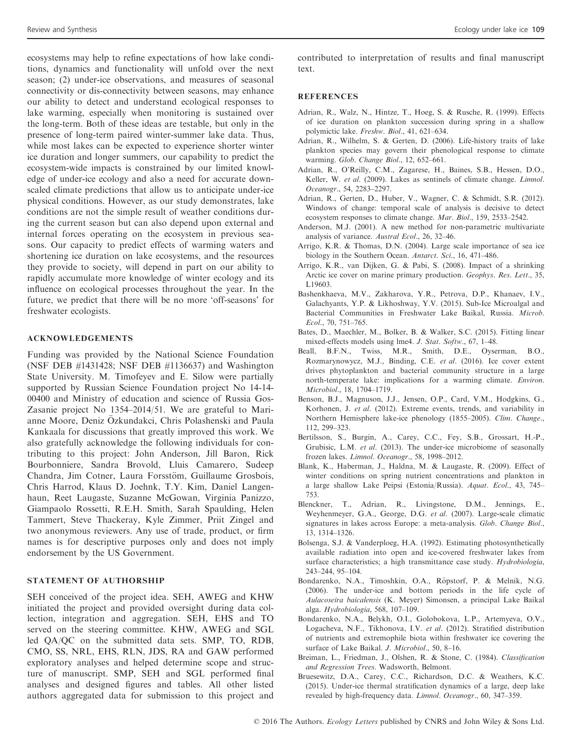ecosystems may help to refine expectations of how lake conditions, dynamics and functionality will unfold over the next season; (2) under-ice observations, and measures of seasonal connectivity or dis-connectivity between seasons, may enhance our ability to detect and understand ecological responses to lake warming, especially when monitoring is sustained over the long-term. Both of these ideas are testable, but only in the presence of long-term paired winter-summer lake data. Thus, while most lakes can be expected to experience shorter winter ice duration and longer summers, our capability to predict the ecosystem-wide impacts is constrained by our limited knowledge of under-ice ecology and also a need for accurate downscaled climate predictions that allow us to anticipate under-ice physical conditions. However, as our study demonstrates, lake conditions are not the simple result of weather conditions during the current season but can also depend upon external and internal forces operating on the ecosystem in previous seasons. Our capacity to predict effects of warming waters and shortening ice duration on lake ecosystems, and the resources they provide to society, will depend in part on our ability to rapidly accumulate more knowledge of winter ecology and its influence on ecological processes throughout the year. In the future, we predict that there will be no more 'off-seasons' for freshwater ecologists.

# ACKNOWLEDGEMENTS

Funding was provided by the National Science Foundation (NSF DEB #1431428; NSF DEB #1136637) and Washington State University. M. Timofeyev and E. Silow were partially supported by Russian Science Foundation project No 14-14- 00400 and Ministry of education and science of Russia Gos-Zasanie project No 1354–2014/51. We are grateful to Marianne Moore, Deniz Özkundakci, Chris Polashenski and Paula Kankaala for discussions that greatly improved this work. We also gratefully acknowledge the following individuals for contributing to this project: John Anderson, Jill Baron, Rick Bourbonniere, Sandra Brovold, Lluis Camarero, Sudeep Chandra, Jim Cotner, Laura Forsstöm, Guillaume Grosbois, Chris Harrod, Klaus D. Joehnk, T.Y. Kim, Daniel Langenhaun, Reet Laugaste, Suzanne McGowan, Virginia Panizzo, Giampaolo Rossetti, R.E.H. Smith, Sarah Spaulding, Helen Tammert, Steve Thackeray, Kyle Zimmer, Priit Zingel and two anonymous reviewers. Any use of trade, product, or firm names is for descriptive purposes only and does not imply endorsement by the US Government.

#### STATEMENT OF AUTHORSHIP

SEH conceived of the project idea. SEH, AWEG and KHW initiated the project and provided oversight during data collection, integration and aggregation. SEH, EHS and TO served on the steering committee. KHW, AWEG and SGL led QA/QC on the submitted data sets. SMP, TO, RDB, CMO, SS, NRL, EHS, RLN, JDS, RA and GAW performed exploratory analyses and helped determine scope and structure of manuscript. SMP, SEH and SGL performed final analyses and designed figures and tables. All other listed authors aggregated data for submission to this project and

contributed to interpretation of results and final manuscript text.

# **REFERENCES**

- Adrian, R., Walz, N., Hintze, T., Hoeg, S. & Rusche, R. (1999). Effects of ice duration on plankton succession during spring in a shallow polymictic lake. Freshw. Biol., 41, 621–634.
- Adrian, R., Wilhelm, S. & Gerten, D. (2006). Life-history traits of lake plankton species may govern their phenological response to climate warming. Glob. Change Biol., 12, 652–661.
- Adrian, R., O'Reilly, C.M., Zagarese, H., Baines, S.B., Hessen, D.O., Keller, W. et al. (2009). Lakes as sentinels of climate change. Limnol. Oceanogr., 54, 2283–2297.
- Adrian, R., Gerten, D., Huber, V., Wagner, C. & Schmidt, S.R. (2012). Windows of change: temporal scale of analysis is decisive to detect ecosystem responses to climate change. Mar. Biol., 159, 2533–2542.
- Anderson, M.J. (2001). A new method for non-parametric multivariate analysis of variance. Austral Ecol., 26, 32–46.
- Arrigo, K.R. & Thomas, D.N. (2004). Large scale importance of sea ice biology in the Southern Ocean. Antarct. Sci., 16, 471-486.
- Arrigo, K.R., van Dijken, G. & Pabi, S. (2008). Impact of a shrinking Arctic ice cover on marine primary production. Geophys. Res. Lett., 35, L19603.
- Bashenkhaeva, M.V., Zakharova, Y.R., Petrova, D.P., Khanaev, I.V., Galachyants, Y.P. & Likhoshway, Y.V. (2015). Sub-Ice Microalgal and Bacterial Communities in Freshwater Lake Baikal, Russia. Microb. Ecol., 70, 751–765.
- Bates, D., Maechler, M., Bolker, B. & Walker, S.C. (2015). Fitting linear mixed-effects models using lme4. J. Stat. Softw., 67, 1–48.
- Beall, B.F.N., Twiss, M.R., Smith, D.E., Oyserman, B.O., Rozmarynowycz, M.J., Binding, C.E. et al. (2016). Ice cover extent drives phytoplankton and bacterial community structure in a large north-temperate lake: implications for a warming climate. Environ. Microbiol., 18, 1704–1719.
- Benson, B.J., Magnuson, J.J., Jensen, O.P., Card, V.M., Hodgkins, G., Korhonen, J. et al. (2012). Extreme events, trends, and variability in Northern Hemisphere lake-ice phenology (1855–2005). Clim. Change., 112, 299–323.
- Bertilsson, S., Burgin, A., Carey, C.C., Fey, S.B., Grossart, H.-P., Grubisic, L.M. et al. (2013). The under-ice microbiome of seasonally frozen lakes. Limnol. Oceanogr., 58, 1998–2012.
- Blank, K., Haberman, J., Haldna, M. & Laugaste, R. (2009). Effect of winter conditions on spring nutrient concentrations and plankton in a large shallow Lake Peipsi (Estonia/Russia). Aquat. Ecol., 43, 745– 753.
- Blenckner, T., Adrian, R., Livingstone, D.M., Jennings, E., Weyhenmeyer, G.A., George, D.G. et al. (2007). Large-scale climatic signatures in lakes across Europe: a meta-analysis. Glob. Change Biol., 13, 1314–1326.
- Bolsenga, S.J. & Vanderploeg, H.A. (1992). Estimating photosynthetically available radiation into open and ice-covered freshwater lakes from surface characteristics; a high transmittance case study. Hydrobiologia, 243–244, 95–104.
- Bondarenko, N.A., Timoshkin, O.A., Röpstorf, P. & Melnik, N.G. (2006). The under-ice and bottom periods in the life cycle of Aulacoseira baicalensis (K. Meyer) Simonsen, a principal Lake Baikal alga. Hydrobiologia, 568, 107–109.
- Bondarenko, N.A., Belykh, O.I., Golobokova, L.P., Artemyeva, O.V., Logacheva, N.F., Tikhonova, I.V. et al. (2012). Stratified distribution of nutrients and extremophile biota within freshwater ice covering the surface of Lake Baikal. J. Microbiol., 50, 8–16.
- Breiman, L., Friedman, J., Olshen, R. & Stone, C. (1984). Classification and Regression Trees. Wadsworth, Belmont.
- Bruesewitz, D.A., Carey, C.C., Richardson, D.C. & Weathers, K.C. (2015). Under-ice thermal stratification dynamics of a large, deep lake revealed by high-frequency data. Limnol. Oceanogr., 60, 347–359.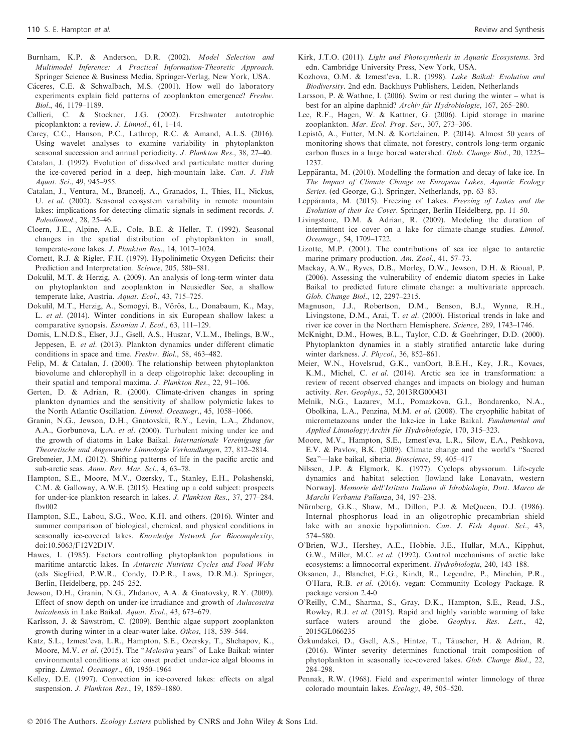- Burnham, K.P. & Anderson, D.R. (2002). Model Selection and Multimodel Inference: A Practical Information-Theoretic Approach. Springer Science & Business Media, Springer-Verlag, New York, USA.
- Cáceres, C.E. & Schwalbach, M.S. (2001). How well do laboratory experiments explain field patterns of zooplankton emergence? Freshw. Biol., 46, 1179–1189.
- Callieri, C. & Stockner, J.G. (2002). Freshwater autotrophic picoplankton: a review. J. Limnol., 61, 1–14.
- Carey, C.C., Hanson, P.C., Lathrop, R.C. & Amand, A.L.S. (2016). Using wavelet analyses to examine variability in phytoplankton seasonal succession and annual periodicity. J. Plankton Res., 38, 27–40.
- Catalan, J. (1992). Evolution of dissolved and particulate matter during the ice-covered period in a deep, high-mountain lake. Can. J. Fish Aquat. Sci., 49, 945–955.
- Catalan, J., Ventura, M., Brancelj, A., Granados, I., Thies, H., Nickus, U. et al. (2002). Seasonal ecosystem variability in remote mountain lakes: implications for detecting climatic signals in sediment records. J. Paleolimnol., 28, 25–46.
- Cloern, J.E., Alpine, A.E., Cole, B.E. & Heller, T. (1992). Seasonal changes in the spatial distribution of phytoplankton in small, temperate-zone lakes. J. Plankton Res., 14, 1017–1024.
- Cornett, R.J. & Rigler, F.H. (1979). Hypolinimetic Oxygen Deficits: their Prediction and Interpretation. Science, 205, 580–581.
- Dokulil, M.T. & Herzig, A. (2009). An analysis of long-term winter data on phytoplankton and zooplankton in Neusiedler See, a shallow temperate lake, Austria. Aquat. Ecol., 43, 715–725.
- Dokulil, M.T., Herzig, A., Somogyi, B., Vörös, L., Donabaum, K., May, L. et al. (2014). Winter conditions in six European shallow lakes: a comparative synopsis. Estonian J. Ecol., 63, 111–129.
- Domis, L.N.D.S., Elser, J.J., Gsell, A.S., Huszar, V.L.M., Ibelings, B.W., Jeppesen, E. et al. (2013). Plankton dynamics under different climatic conditions in space and time. Freshw. Biol., 58, 463–482.
- Felip, M. & Catalan, J. (2000). The relationship between phytoplankton biovolume and chlorophyll in a deep oligotrophic lake: decoupling in their spatial and temporal maxima. J. Plankton Res., 22, 91–106.
- Gerten, D. & Adrian, R. (2000). Climate-driven changes in spring plankton dynamics and the sensitivity of shallow polymictic lakes to the North Atlantic Oscillation. Limnol. Oceanogr., 45, 1058–1066.
- Granin, N.G., Jewson, D.H., Gnatovskii, R.Y., Levin, L.A., Zhdanov, A.A., Gorbunova, L.A. et al. (2000). Turbulent mixing under ice and the growth of diatoms in Lake Baikal. Internationale Vereinigung fur Theoretische und Angewandte Limnologie Verhandlungen, 27, 812–2814.
- Grebmeier, J.M. (2012). Shifting patterns of life in the pacific arctic and sub-arctic seas. Annu. Rev. Mar. Sci., 4, 63–78.
- Hampton, S.E., Moore, M.V., Ozersky, T., Stanley, E.H., Polashenski, C.M. & Galloway, A.W.E. (2015). Heating up a cold subject: prospects for under-ice plankton research in lakes. J. Plankton Res., 37, 277–284. fbv002
- Hampton, S.E., Labou, S.G., Woo, K.H. and others. (2016). Winter and summer comparison of biological, chemical, and physical conditions in seasonally ice-covered lakes. Knowledge Network for Biocomplexity, doi:[10.5063/F12V2D1V](http://dx.doi.org/10.5063/F12V2D1V).
- Hawes, I. (1985). Factors controlling phytoplankton populations in maritime antarctic lakes. In Antarctic Nutrient Cycles and Food Webs (eds Siegfried, P.W.R., Condy, D.P.R., Laws, D.R.M.). Springer, Berlin, Heidelberg, pp. 245–252.
- Jewson, D.H., Granin, N.G., Zhdanov, A.A. & Gnatovsky, R.Y. (2009). Effect of snow depth on under-ice irradiance and growth of Aulacoseira baicalensis in Lake Baikal. Aquat. Ecol., 43, 673–679.
- Karlsson, J. & Säwström, C. (2009). Benthic algae support zooplankton growth during winter in a clear-water lake. Oikos, 118, 539–544.
- Katz, S.L., Izmest'eva, L.R., Hampton, S.E., Ozersky, T., Shchapov, K., Moore, M.V. et al. (2015). The "Melosira years" of Lake Baikal: winter environmental conditions at ice onset predict under-ice algal blooms in spring. Limnol. Oceanogr., 60, 1950–1964
- Kelley, D.E. (1997). Convection in ice-covered lakes: effects on algal suspension. J. Plankton Res., 19, 1859–1880.
- Kozhova, O.M. & Izmest'eva, L.R. (1998). Lake Baikal: Evolution and Biodiversity. 2nd edn. Backhuys Publishers, Leiden, Netherlands
- Larsson, P. & Wathne, I. (2006). Swim or rest during the winter what is best for an alpine daphnid? Archiv für Hydrobiologie, 167, 265–280.
- Lee, R.F., Hagen, W. & Kattner, G. (2006). Lipid storage in marine zooplankton. Mar. Ecol. Prog. Ser., 307, 273–306.
- Lepistö, A., Futter, M.N. & Kortelainen, P. (2014). Almost 50 years of monitoring shows that climate, not forestry, controls long-term organic carbon fluxes in a large boreal watershed. Glob. Change Biol., 20, 1225– 1237.
- Leppäranta, M. (2010). Modelling the formation and decay of lake ice. In The Impact of Climate Change on European Lakes, Aquatic Ecology Series. (ed George, G.). Springer, Netherlands, pp. 63–83.
- Leppäranta, M. (2015). Freezing of Lakes. Freezing of Lakes and the Evolution of their Ice Cover. Springer, Berlin Heidelberg, pp. 11–50.
- Livingstone, D.M. & Adrian, R. (2009). Modeling the duration of intermittent ice cover on a lake for climate-change studies. Limnol. Oceanogr., 54, 1709–1722.
- Lizotte, M.P. (2001). The contributions of sea ice algae to antarctic marine primary production. Am. Zool., 41, 57–73.
- Mackay, A.W., Ryves, D.B., Morley, D.W., Jewson, D.H. & Rioual, P. (2006). Assessing the vulnerability of endemic diatom species in Lake Baikal to predicted future climate change: a multivariate approach. Glob. Change Biol., 12, 2297–2315.
- Magnuson, J.J., Robertson, D.M., Benson, B.J., Wynne, R.H., Livingstone, D.M., Arai, T. et al. (2000). Historical trends in lake and river ice cover in the Northern Hemisphere. Science, 289, 1743–1746.
- McKnight, D.M., Howes, B.L., Taylor, C.D. & Goehringer, D.D. (2000). Phytoplankton dynamics in a stably stratified antarctic lake during winter darkness. J. Phycol., 36, 852-861.
- Meier, W.N., Hovelsrud, G.K., vanOort, B.E.H., Key, J.R., Kovacs, K.M., Michel, C. et al. (2014). Arctic sea ice in transformation: a review of recent observed changes and impacts on biology and human activity. Rev. Geophys., 52, 2013RG000431
- Melnik, N.G., Lazarev, M.I., Pomazkova, G.I., Bondarenko, N.A., Obolkina, L.A., Penzina, M.M. et al. (2008). The cryophilic habitat of micrometazoans under the lake-ice in Lake Baikal. Fundamental and Applied Limnology/Archiv für Hydrobiologie, 170, 315–323.
- Moore, M.V., Hampton, S.E., Izmest'eva, L.R., Silow, E.A., Peshkova, E.V. & Pavlov, B.K. (2009). Climate change and the world's "Sacred Sea"—lake baikal, siberia. Bioscience, 59, 405–417
- Nilssen, J.P. & Elgmork, K. (1977). Cyclops abyssorum. Life-cycle dynamics and habitat selection [lowland lake Lonavatn, western Norway]. Memorie dell'Istituto Italiano di Idrobiologia, Dott. Marco de Marchi Verbania Pallanza, 34, 197–238.
- Nürnberg, G.K., Shaw, M., Dillon, P.J. & McQueen, D.J. (1986). Internal phosphorus load in an oligotrophic precambrian shield lake with an anoxic hypolimnion. Can. J. Fish Aquat. Sci., 43, 574–580.
- O'Brien, W.J., Hershey, A.E., Hobbie, J.E., Hullar, M.A., Kipphut, G.W., Miller, M.C. et al. (1992). Control mechanisms of arctic lake ecosystems: a limnocorral experiment. Hydrobiologia, 240, 143–188.
- Oksanen, J., Blanchet, F.G., Kindt, R., Legendre, P., Minchin, P.R., O'Hara, R.B. et al. (2016). vegan: Community Ecology Package. R package version 2.4-0
- O'Reilly, C.M., Sharma, S., Gray, D.K., Hampton, S.E., Read, J.S., Rowley, R.J. et al. (2015). Rapid and highly variable warming of lake surface waters around the globe. Geophys. Res. Lett., 42, 2015GL066235
- Özkundakci, D., Gsell, A.S., Hintze, T., Täuscher, H. & Adrian, R. (2016). Winter severity determines functional trait composition of phytoplankton in seasonally ice-covered lakes. Glob. Change Biol., 22, 284–298.
- Pennak, R.W. (1968). Field and experimental winter limnology of three colorado mountain lakes. Ecology, 49, 505–520.